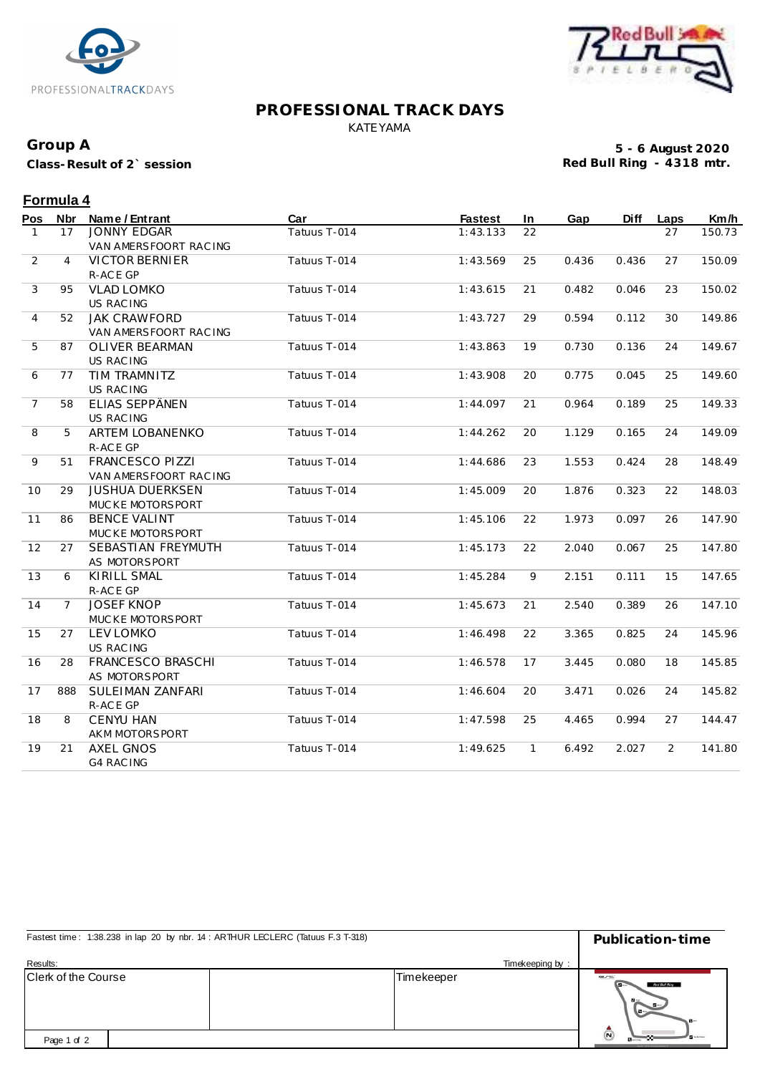



#### **PROFESSIONAL TRACK DAYS** KATEYAMA

## **Group A**

**Class-Result of 2` session**

**5 - 6 August 2020 Red Bull Ring - 4318 mtr.**

# **Formula 4**

| Pos            | Nbr            | Name / Entrant         | Car          | <b>Fastest</b> | In.          | Gap   | <b>Diff</b> | Laps           | Km/h   |
|----------------|----------------|------------------------|--------------|----------------|--------------|-------|-------------|----------------|--------|
| $\mathbf{1}$   | 17             | <b>JONNY EDGAR</b>     | Tatuus T-014 | 1:43.133       | 22           |       |             | 27             | 150.73 |
|                |                | VAN AMERSFOORT RACING  |              |                |              |       |             |                |        |
| 2              | $\overline{4}$ | <b>VICTOR BERNIER</b>  | Tatuus T-014 | 1:43.569       | 25           | 0.436 | 0.436       | 27             | 150.09 |
|                |                | R-ACE GP               |              |                |              |       |             |                |        |
| 3              | 95             | <b>VLAD LOMKO</b>      | Tatuus T-014 | 1:43.615       | 21           | 0.482 | 0.046       | 23             | 150.02 |
|                |                | US RAC ING             |              |                |              |       |             |                |        |
| 4              | 52             | <b>JAK CRAWFORD</b>    | Tatuus T-014 | 1:43.727       | 29           | 0.594 | 0.112       | 30             | 149.86 |
|                |                | VAN AMERSFOORT RAC ING |              |                |              |       |             |                |        |
| 5              | 87             | <b>OLIVER BEARMAN</b>  | Tatuus T-014 | 1:43.863       | 19           | 0.730 | 0.136       | 24             | 149.67 |
|                |                | US RAC ING             |              |                |              |       |             |                |        |
| 6              | 77             | <b>TIM TRAMNITZ</b>    | Tatuus T-014 | 1:43.908       | 20           | 0.775 | 0.045       | 25             | 149.60 |
|                |                | US RAC ING             |              |                |              |       |             |                |        |
| $\overline{7}$ | 58             | ELIAS SEPPÄNEN         | Tatuus T-014 | 1:44.097       | 21           | 0.964 | 0.189       | 25             | 149.33 |
|                |                | <b>US RACING</b>       |              |                |              |       |             |                |        |
| 8              | 5              | <b>ARTEM LOBANENKO</b> | Tatuus T-014 | 1:44.262       | 20           | 1.129 | 0.165       | 24             | 149.09 |
|                |                | R-ACE GP               |              |                |              |       |             |                |        |
| 9              | 51             | <b>FRANCESCO PIZZI</b> | Tatuus T-014 | 1:44.686       | 23           | 1.553 | 0.424       | 28             | 148.49 |
|                |                | VAN AMERSFOORT RAC ING |              |                |              |       |             |                |        |
| 10             | 29             | <b>JUSHUA DUERKSEN</b> | Tatuus T-014 | 1:45.009       | 20           | 1.876 | 0.323       | 22             | 148.03 |
|                |                | MUCKE MOTORSPORT       |              |                |              |       |             |                |        |
| 11             | 86             | <b>BENCE VALINT</b>    | Tatuus T-014 | 1:45.106       | 22           | 1.973 | 0.097       | 26             | 147.90 |
|                |                | MUCKE MOTORSPORT       |              |                |              |       |             |                |        |
| 12             | 27             | SEBASTIAN FREYMUTH     | Tatuus T-014 | 1:45.173       | 22           | 2.040 | 0.067       | 25             | 147.80 |
|                |                | AS MOTORSPORT          |              |                |              |       |             |                |        |
| 13             | 6              | <b>KIRILL SMAL</b>     | Tatuus T-014 | 1:45.284       | 9            | 2.151 | 0.111       | 15             | 147.65 |
|                |                | R-ACE GP               |              |                |              |       |             |                |        |
| 14             | $\overline{7}$ | <b>JOSEF KNOP</b>      | Tatuus T-014 | 1:45.673       | 21           | 2.540 | 0.389       | 26             | 147.10 |
|                |                | MUCKE MOTORSPORT       |              |                |              |       |             |                |        |
| 15             | 27             | <b>LEV LOMKO</b>       | Tatuus T-014 | 1:46.498       | 22           | 3.365 | 0.825       | 24             | 145.96 |
|                |                | <b>US RACING</b>       |              |                |              |       |             |                |        |
| 16             | 28             | FRANCESCO BRASCHI      | Tatuus T-014 | 1:46.578       | 17           | 3.445 | 0.080       | 18             | 145.85 |
|                |                | AS MOTORSPORT          |              |                |              |       |             |                |        |
| 17             | 888            | SULEIMAN ZANFARI       | Tatuus T-014 | 1:46.604       | 20           | 3.471 | 0.026       | 24             | 145.82 |
|                |                | R-ACE GP               |              |                |              |       |             |                |        |
| 18             | 8              | <b>CENYU HAN</b>       | Tatuus T-014 | 1:47.598       | 25           | 4.465 | 0.994       | 27             | 144.47 |
|                |                | AKM MOTORSPORT         |              |                |              |       |             |                |        |
| 19             | 21             | <b>AXEL GNOS</b>       | Tatuus T-014 | 1:49.625       | $\mathbf{1}$ | 6.492 | 2.027       | $\overline{2}$ | 141.80 |
|                |                | <b>G4 RAC ING</b>      |              |                |              |       |             |                |        |

| Fastest time: 1:38.238 in lap 20 by nbr. 14 : ARTHUR LECLERC (Tatuus F.3 T-318) |  | Publication-time |                                                                  |  |  |
|---------------------------------------------------------------------------------|--|------------------|------------------------------------------------------------------|--|--|
| Results:                                                                        |  | Timekeeping by:  |                                                                  |  |  |
| <b>Clerk of the Course</b>                                                      |  | Timekeeper       | C<br>Red Bull Ring<br>$\mathbf{B}$<br>$\sim$<br>$-1$             |  |  |
| Page 1 of 2                                                                     |  |                  | $\bar{\bm{\Theta}}$<br><b>B</b> ureau<br>FAILTY VISUAL CHARGE MC |  |  |